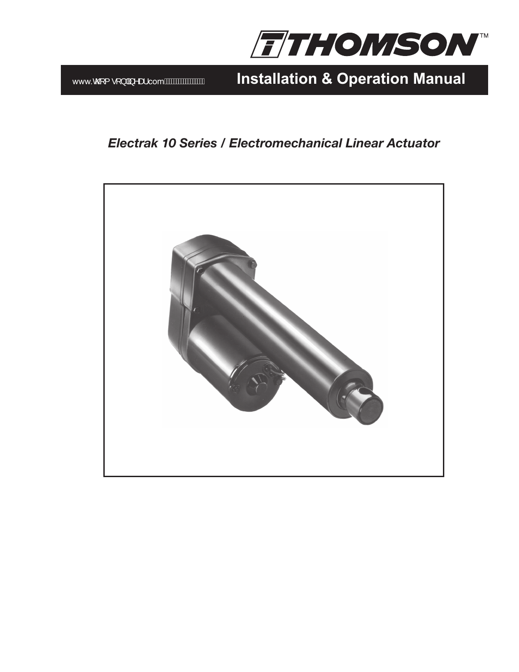

www.comet .<sup>[ } ] 3</sup> ^ as.com A A was a set allation & Operation Manual

# *Electrak 10 Series / Electromechanical Linear Actuator*

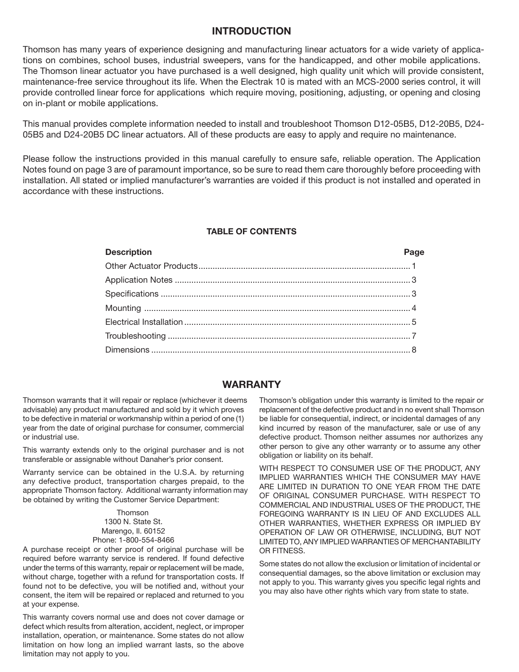# **INTRODUCTION**

Thomson has many years of experience designing and manufacturing linear actuators for a wide variety of applications on combines, school buses, industrial sweepers, vans for the handicapped, and other mobile applications. The Thomson linear actuator you have purchased is a well designed, high quality unit which will provide consistent, maintenance-free service throughout its life. When the Electrak 10 is mated with an MCS-2000 series control, it will provide controlled linear force for applications which require moving, positioning, adjusting, or opening and closing on in-plant or mobile applications.

This manual provides complete information needed to install and troubleshoot Thomson D12-05B5, D12-20B5, D24- 05B5 and D24-20B5 DC linear actuators. All of these products are easy to apply and require no maintenance.

Please follow the instructions provided in this manual carefully to ensure safe, reliable operation. The Application Notes found on page 3 are of paramount importance, so be sure to read them care thoroughly before proceeding with installation. All stated or implied manufacturer's warranties are voided if this product is not installed and operated in accordance with these instructions.

#### **TABLE OF CONTENTS**

# **Description Page** Other Actuator Products.......................................................................................... 1 Application Notes .................................................................................................... 3 Specifications .......................................................................................................... 3 Mounting ................................................................................................................. 4 Electrical Installation ................................................................................................ 5 Troubleshooting ....................................................................................................... 7 Dimensions .............................................................................................................. 8

# **Warranty**

Thomson warrants that it will repair or replace (whichever it deems advisable) any product manufactured and sold by it which proves to be defective in material or workmanship within a period of one (1) year from the date of original purchase for consumer, commercial or industrial use.

This warranty extends only to the original purchaser and is not transferable or assignable without Danaher's prior consent.

Warranty service can be obtained in the U.S.A. by returning any defective product, transportation charges prepaid, to the appropriate Thomson factory. Additional warranty information may be obtained by writing the Customer Service Department:

> **Thomson** 1300 N. State St. Marengo, Il. 60152 Phone: 1-800-554-8466

A purchase receipt or other proof of original purchase will be required before warranty service is rendered. If found defective under the terms of this warranty, repair or replacement will be made, without charge, together with a refund for transportation costs. If found not to be defective, you will be notified and, without your consent, the item will be repaired or replaced and returned to you at your expense.

This warranty covers normal use and does not cover damage or defect which results from alteration, accident, neglect, or improper installation, operation, or maintenance. Some states do not allow limitation on how long an implied warrant lasts, so the above limitation may not apply to you.

Thomson's obligation under this warranty is limited to the repair or replacement of the defective product and in no event shall Thomson be liable for consequential, indirect, or incidental damages of any kind incurred by reason of the manufacturer, sale or use of any defective product. Thomson neither assumes nor authorizes any other person to give any other warranty or to assume any other obligation or liability on its behalf.

WITH RESPECT TO CONSUMER USE OF THE PRODUCT, ANY IMPLIED WARRANTIES WHICH THE CONSUMER MAY HAVE ARE LIMITED IN DURATION TO ONE YEAR FROM THE DATE OF ORIGINAL CONSUMER PURCHASE. WITH RESPECT TO COMMERCIAL AND INDUSTRIAL USES OF THE PRODUCT, THE FOREGOING WARRANTY IS IN LIEU OF AND EXCLUDES ALL OTHER WARRANTIES, WHETHER EXPRESS OR IMPLIED BY OPERATION OF LAW OR OTHERWISE, INCLUDING, BUT NOT LIMITED TO, ANY IMPLIED WARRANTIES OF MERCHANTABILITY OR FITNESS.

Some states do not allow the exclusion or limitation of incidental or consequential damages, so the above limitation or exclusion may not apply to you. This warranty gives you specific legal rights and you may also have other rights which vary from state to state.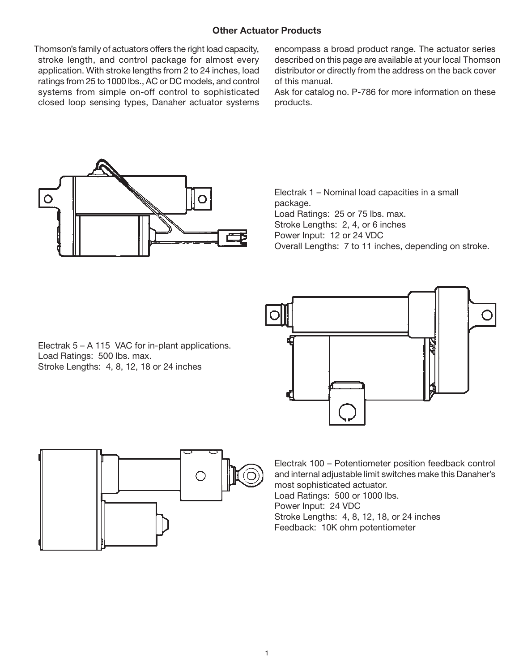# **Other Actuator Products**

Thomson's family of actuators offers the right load capacity, stroke length, and control package for almost every application. With stroke lengths from 2 to 24 inches, load ratings from 25 to 1000 lbs., AC or DC models, and control systems from simple on-off control to sophisticated closed loop sensing types, Danaher actuator systems

encompass a broad product range. The actuator series described on this page are available at your local Thomson distributor or directly from the address on the back cover of this manual.

Ask for catalog no. P-786 for more information on these products.



Electrak 1 – Nominal load capacities in a small package. Load Ratings: 25 or 75 lbs. max. Stroke Lengths: 2, 4, or 6 inches Power Input: 12 or 24 VDC Overall Lengths: 7 to 11 inches, depending on stroke.



Electrak 5 – A 115 VAC for in-plant applications. Load Ratings: 500 lbs. max. Stroke Lengths: 4, 8, 12, 18 or 24 inches



Electrak 100 – Potentiometer position feedback control and internal adjustable limit switches make this Danaher's most sophisticated actuator. Load Ratings: 500 or 1000 lbs. Power Input: 24 VDC Stroke Lengths: 4, 8, 12, 18, or 24 inches

Feedback: 10K ohm potentiometer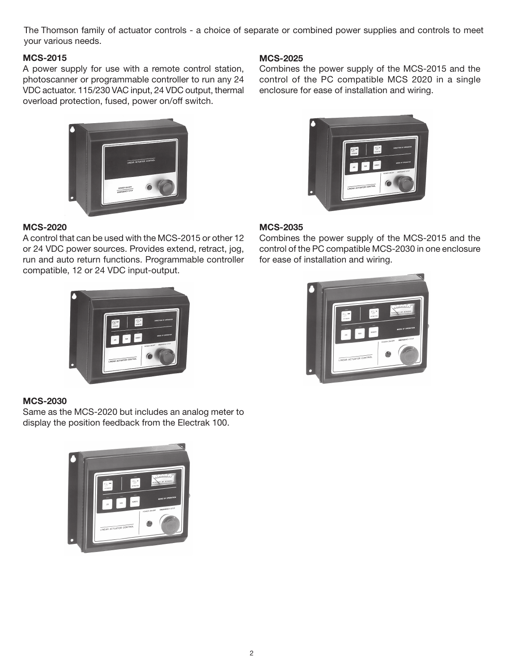The Thomson family of actuator controls - a choice of separate or combined power supplies and controls to meet your various needs.

# **MCS-2015**

A power supply for use with a remote control station, photoscanner or programmable controller to run any 24 VDC actuator. 115/230 VAC input, 24 VDC output, thermal overload protection, fused, power on/off switch.



# **MCS-2020**

A control that can be used with the MCS-2015 or other 12 or 24 VDC power sources. Provides extend, retract, jog, run and auto return functions. Programmable controller compatible, 12 or 24 VDC input-output.



# **MCS-2030**

Same as the MCS-2020 but includes an analog meter to display the position feedback from the Electrak 100.



# **MCS-2025**

Combines the power supply of the MCS-2015 and the control of the PC compatible MCS 2020 in a single enclosure for ease of installation and wiring.



# **MCS-2035**

Combines the power supply of the MCS-2015 and the control of the PC compatible MCS-2030 in one enclosure for ease of installation and wiring.

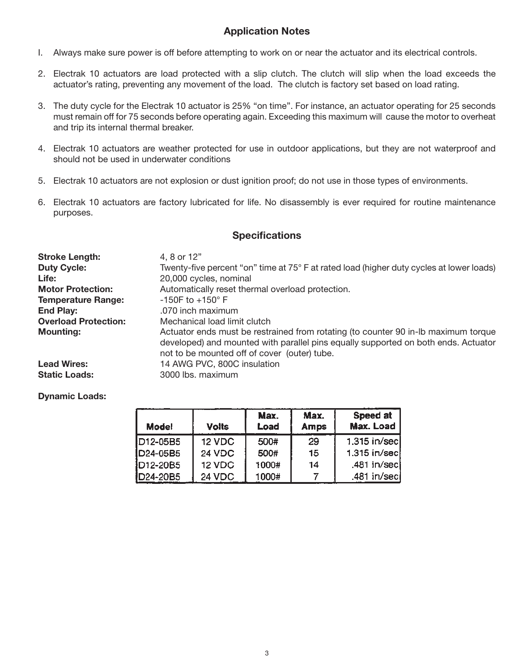# **Application Notes**

- I. Always make sure power is off before attempting to work on or near the actuator and its electrical controls.
- 2. Electrak 10 actuators are load protected with a slip clutch. The clutch will slip when the load exceeds the actuator's rating, preventing any movement of the load. The clutch is factory set based on load rating.
- 3. The duty cycle for the Electrak 10 actuator is 25% "on time". For instance, an actuator operating for 25 seconds must remain off for 75 seconds before operating again. Exceeding this maximum will cause the motor to overheat and trip its internal thermal breaker.
- 4. Electrak 10 actuators are weather protected for use in outdoor applications, but they are not waterproof and should not be used in underwater conditions
- 5. Electrak 10 actuators are not explosion or dust ignition proof; do not use in those types of environments.
- 6. Electrak 10 actuators are factory lubricated for life. No disassembly is ever required for routine maintenance purposes.

# **Specifications**

| <b>Stroke Length:</b><br><b>Duty Cycle:</b> | 4, 8 or 12"<br>Twenty-five percent "on" time at 75° F at rated load (higher duty cycles at lower loads)                                                                                                                  |  |  |
|---------------------------------------------|--------------------------------------------------------------------------------------------------------------------------------------------------------------------------------------------------------------------------|--|--|
| Life:                                       | 20,000 cycles, nominal                                                                                                                                                                                                   |  |  |
| <b>Motor Protection:</b>                    | Automatically reset thermal overload protection.                                                                                                                                                                         |  |  |
| <b>Temperature Range:</b>                   | $-150$ F to $+150$ ° F                                                                                                                                                                                                   |  |  |
| <b>End Play:</b>                            | .070 inch maximum                                                                                                                                                                                                        |  |  |
| <b>Overload Protection:</b>                 | Mechanical load limit clutch                                                                                                                                                                                             |  |  |
| <b>Mounting:</b>                            | Actuator ends must be restrained from rotating (to counter 90 in-Ib maximum torque<br>developed) and mounted with parallel pins equally supported on both ends. Actuator<br>not to be mounted off of cover (outer) tube. |  |  |
| <b>Lead Wires:</b>                          | 14 AWG PVC, 800C insulation                                                                                                                                                                                              |  |  |
| <b>Static Loads:</b>                        | 3000 lbs. maximum                                                                                                                                                                                                        |  |  |

#### **Dynamic Loads:**

| <b>Model</b>          | <b>Volts</b> | Max.<br>Load | Max.<br><b>Amps</b> | Speed at<br>Max. Load |
|-----------------------|--------------|--------------|---------------------|-----------------------|
| D <sub>12</sub> -05B5 | 12 VDC       | 500#         | 29                  | 1.315 in/sec          |
| ID24-05B5             | 24 VDC       | 500#         | 15                  | 1.315 in/sec          |
| $D12-20B5$            | 12 VDC       | 1000#        | 14                  | .481 in/sec           |
| <b>ID24-20B5</b>      | 24 VDC       | 1000#        |                     | .481 in/seci          |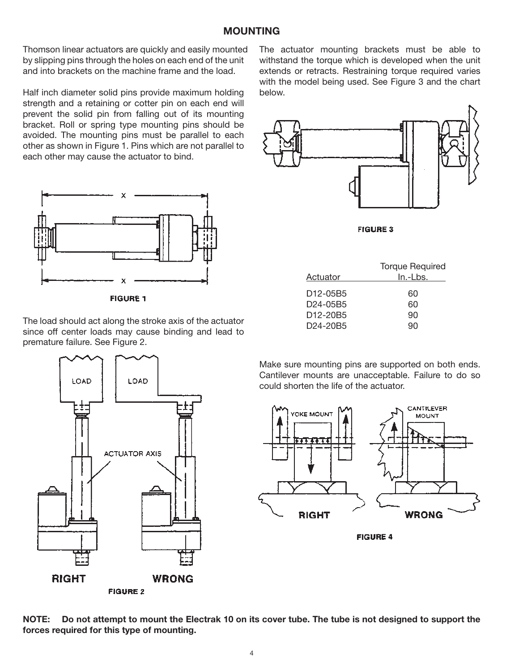Thomson linear actuators are quickly and easily mounted by slipping pins through the holes on each end of the unit and into brackets on the machine frame and the load.

Half inch diameter solid pins provide maximum holding strength and a retaining or cotter pin on each end will prevent the solid pin from falling out of its mounting bracket. Roll or spring type mounting pins should be avoided. The mounting pins must be parallel to each other as shown in Figure 1. Pins which are not parallel to each other may cause the actuator to bind.



**FIGURE 1** 

The load should act along the stroke axis of the actuator since off center loads may cause binding and lead to premature failure. See Figure 2.

The actuator mounting brackets must be able to withstand the torque which is developed when the unit extends or retracts. Restraining torque required varies with the model being used. See Figure 3 and the chart below.



**FIGURE 3** 

|                                   | <b>Torque Required</b> |
|-----------------------------------|------------------------|
| Actuator                          | In.-Lbs.               |
|                                   |                        |
| D12-05B5                          | 60                     |
| D24-05B5                          | 60                     |
| D <sub>12</sub> -20B <sub>5</sub> | 90                     |
| D <sub>24</sub> -20B <sub>5</sub> | an                     |
|                                   |                        |

Make sure mounting pins are supported on both ends. Cantilever mounts are unacceptable. Failure to do so could shorten the life of the actuator.



**FIGURE 4** 



NOTE: Do not attempt to mount the Electrak 10 on its cover tube. The tube is not designed to support the **forces required for this type of mounting.**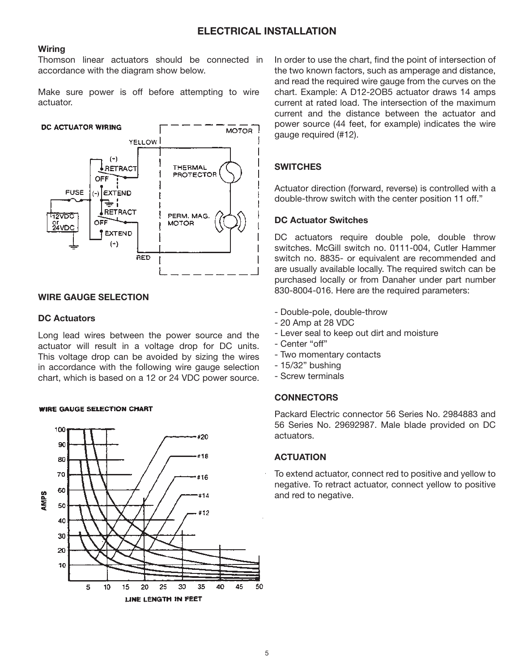# **ELECTRICAL INSTALLATION**

#### **Wiring**

Thomson linear actuators should be connected in accordance with the diagram show below.

Make sure power is off before attempting to wire actuator.



#### **WIRE GAUGE SELECTION**

#### **DC Actuators**

Long lead wires between the power source and the actuator will result in a voltage drop for DC units. This voltage drop can be avoided by sizing the wires in accordance with the following wire gauge selection chart, which is based on a 12 or 24 VDC power source.

#### **WIRE GAUGE SELECTION CHART**



In order to use the chart, find the point of intersection of the two known factors, such as amperage and distance, and read the required wire gauge from the curves on the chart. Example: A D12-2OB5 actuator draws 14 amps current at rated load. The intersection of the maximum current and the distance between the actuator and power source (44 feet, for example) indicates the wire gauge required (#12).

#### **SWITCHES**

Actuator direction (forward, reverse) is controlled with a double-throw switch with the center position 11 off."

#### **DC Actuator Switches**

DC actuators require double pole, double throw switches. McGill switch no. 0111-004, Cutler Hammer switch no. 8835- or equivalent are recommended and are usually available locally. The required switch can be purchased locally or from Danaher under part number 830-8004-016. Here are the required parameters:

- Double-pole, double-throw
- 20 Amp at 28 VDC
- Lever seal to keep out dirt and moisture
- Center "off"
- Two momentary contacts
- 15/32" bushing
- Screw terminals

#### **CONNECTORS**

Packard Electric connector 56 Series No. 2984883 and 56 Series No. 29692987. Male blade provided on DC actuators.

### **ACTUATION**

To extend actuator, connect red to positive and yellow to negative. To retract actuator, connect yellow to positive and red to negative.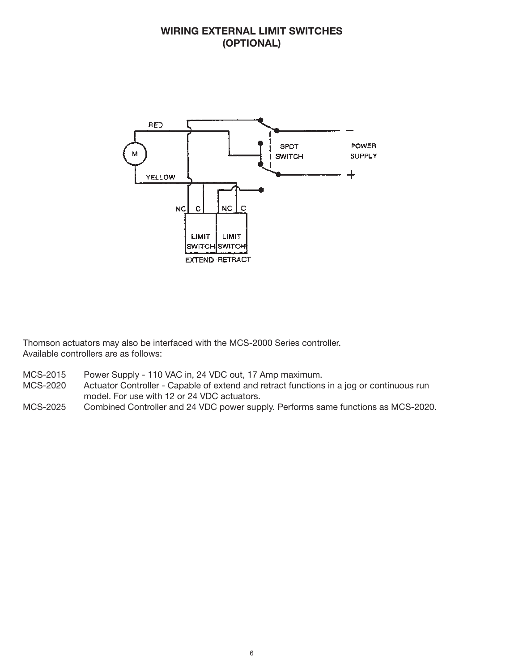# **WIRING EXTERNAL LIMIT SWITCHES (OPTIONAL)**



Thomson actuators may also be interfaced with the MCS-2000 Series controller. Available controllers are as follows:

- MCS-2015 Power Supply 110 VAC in, 24 VDC out, 17 Amp maximum.
- MCS-2020 Actuator Controller Capable of extend and retract functions in a jog or continuous run model. For use with 12 or 24 VDC actuators.
- MCS-2025 Combined Controller and 24 VDC power supply. Performs same functions as MCS-2020.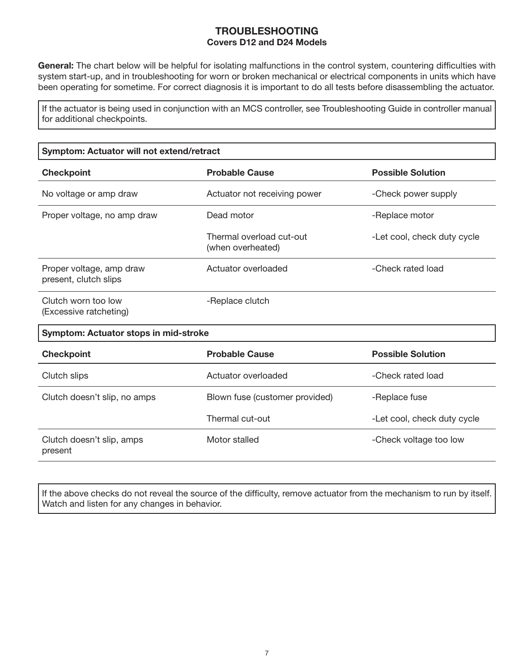# **TROUBLESHOOTING Covers D12 and D24 Models**

**General:** The chart below will be helpful for isolating malfunctions in the control system, countering difficulties with system start-up, and in troubleshooting for worn or broken mechanical or electrical components in units which have been operating for sometime. For correct diagnosis it is important to do all tests before disassembling the actuator.

If the actuator is being used in conjunction with an MCS controller, see Troubleshooting Guide in controller manual for additional checkpoints.

| Symptom: Actuator will not extend/retract         |                                               |                             |  |  |  |  |
|---------------------------------------------------|-----------------------------------------------|-----------------------------|--|--|--|--|
| <b>Checkpoint</b>                                 | <b>Probable Cause</b>                         | <b>Possible Solution</b>    |  |  |  |  |
| No voltage or amp draw                            | Actuator not receiving power                  | -Check power supply         |  |  |  |  |
| Proper voltage, no amp draw                       | Dead motor                                    | -Replace motor              |  |  |  |  |
|                                                   | Thermal overload cut-out<br>(when overheated) | -Let cool, check duty cycle |  |  |  |  |
| Proper voltage, amp draw<br>present, clutch slips | Actuator overloaded                           | -Check rated load           |  |  |  |  |
| Clutch worn too low<br>(Excessive ratcheting)     | -Replace clutch                               |                             |  |  |  |  |
| Symptom: Actuator stops in mid-stroke             |                                               |                             |  |  |  |  |
| <b>Checkpoint</b>                                 | <b>Probable Cause</b>                         | <b>Possible Solution</b>    |  |  |  |  |
| Clutch slips                                      | Actuator overloaded                           | -Check rated load           |  |  |  |  |
| Clutch doesn't slip, no amps                      | Blown fuse (customer provided)                | -Replace fuse               |  |  |  |  |
|                                                   | Thermal cut-out                               | -Let cool, check duty cycle |  |  |  |  |
| Clutch doesn't slip, amps<br>present              | Motor stalled                                 | -Check voltage too low      |  |  |  |  |
|                                                   |                                               |                             |  |  |  |  |

If the above checks do not reveal the source of the difficulty, remove actuator from the mechanism to run by itself. Watch and listen for any changes in behavior.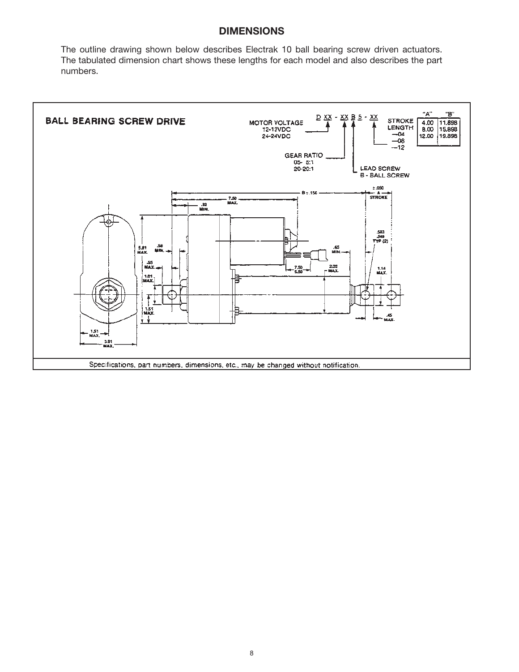# **DIMENSIONS**

The outline drawing shown below describes Electrak 10 ball bearing screw driven actuators. The tabulated dimension chart shows these lengths for each model and also describes the part numbers.